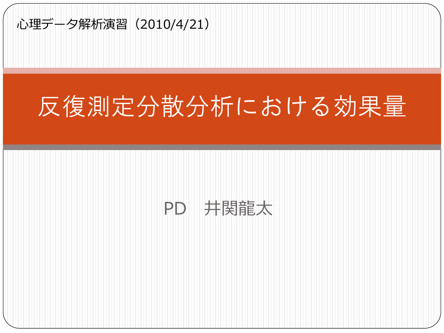

## 反復測定分散分析における効果量

#### PD 井関龍太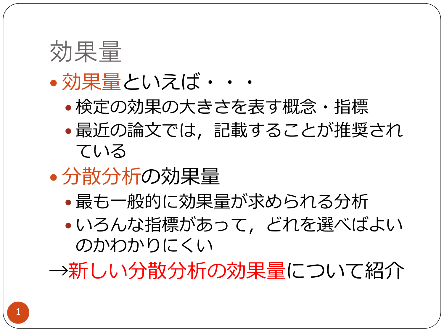

#### 効果量といえば・・・

- 検定の効果の大きさを表す概念・指標
- 最近の論文では,記載することが推奨され ている
- 分散分析の効果量
	- 最も一般的に効果量が求められる分析
	- いろんな指標があって,どれを選べばよい のかわかりにくい

→新しい分散分析の効果量について紹介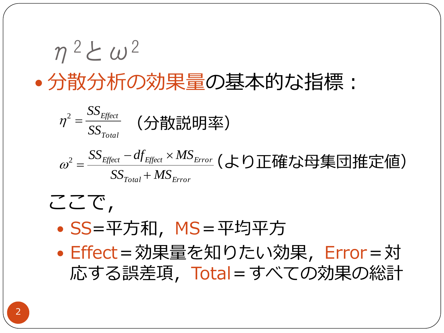$$
\eta^2 \angle \omega^2
$$
 - 分数分術の効果量の基本的な指機:

$$
\eta^2 = \frac{SS_{Effect}}{SS_{Total}}
$$
 (分数説明率)

$$
\omega^2 = \frac{SS_{Effect} - df_{Effect} \times MS_{Error}}{SS_{Total} + MS_{Error}} (5.5 \times 10^{24} \text{ J/kg})
$$

ここで, • SS=平方和, MS=平均平方 Effect=効果量を知りたい効果,Error=対 応する誤差項,Total=すべての効果の総計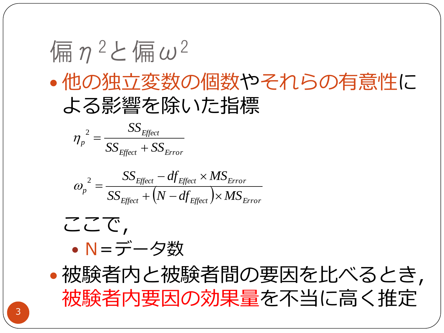# 偏 $n^2$ と偏 $\omega^2$  他の独立変数の個数やそれらの有意性に よる影響を除いた指標

$$
\eta_p^2 = \frac{SS_{Effect}}{SS_{Effect} + SS_{Error}}
$$

$$
\omega_p^2 = \frac{SS_{Effect} - df_{Effect} \times MS_{Error}}{SS_{Effect} + (N - df_{Effect}) \times MS_{Error}}
$$



 被験者内と被験者間の要因を比べるとき, 被験者内要因の効果量を不当に高く推定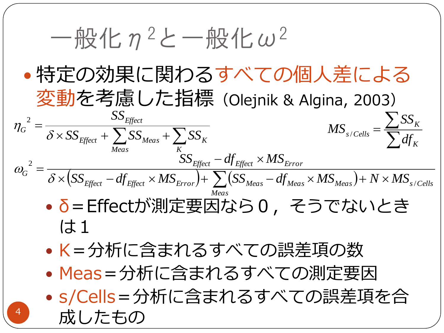4  $-\frac{1}{2}$  化 $n^2$ と一般化 $\omega^2$  特定の効果に関わるすべての個人差による 変動を考慮した指標(Olejnik & Algina, 2003) δ=Effectが測定要因なら0,そうでないとき (大1 K=分析に含まれるすべての誤差項の数 • Meas=分析に含まれるすべての測定要因 s/Cells=分析に含まれるすべての誤差項を合 成したもの  $=$ *Meas K*  $E$ ffect  $\left\{ \Box \right\}$ <sup> $\cup$ </sup>Meas  $\left\{ \Box \right\}$  $\cup$ K *Effect*  $G = \frac{1}{\delta \times SS}$ <sub>*Effect*</sub> +  $\sum SS$ <sub>*Meas</sub>* +  $\sum SS$ </sub> *SS*  $\delta$  $\eta$ 2  $\left(SS_{Effect}-df_{Effect}\times MS_{Error}\right) + \sum\limits_{SSMeas}-df_{Meas}\times MS_{Meas}\right) + N\times MS_{s/Cells}$ *Meas*  $E$ *ffect*  $\sim$  *W*  $E$ *ffect*  $\sim$  *W*  $\sim$  *Error*  $/$   $\sim$   $\sim$  *L*  $\sim$  *W Meas*  $\sim$  *W Meas*  $\sim$  *W Meas*  $\sim$  *W*  $\sim$  *Meas*  $\sim$  *Meas*  $\sim$  *Meas*  $\sim$  *Meas*  $\sim$  *Meas*  $\sim$  *Meas*  $\sim$  *Meas*  $\sim$  *Mea*  $\overline{SS}_{Effect}-df_{Effect}\times MS_{Error}$  $dG = \delta \times (SS_{Effect} - df_{Effect} \times MS_{Error}) + \sum (SS_{Meas} - df_{Meas} \times MS_{Meas}) + N \times MS_{soft}$ 2  $\times (SS_{Effect}-df_{Effect} \times MS_{Error}) + \sum (SS_{Meas}-df_{Meas} \times MS_{Meas}) + N \times$  $=$  $\omega_G = \frac{1}{\delta \times (SS_{Effect} - df_{Effect} \times MS_{Error}) + \sum_{error}}$  $\overline{\sum}$  $=$  $\sum$ *K K*  $s$  *Cells*  $\bar{f}$   $\sum df$ *SS*  $\overline{\mathit{MS}}_{s/}$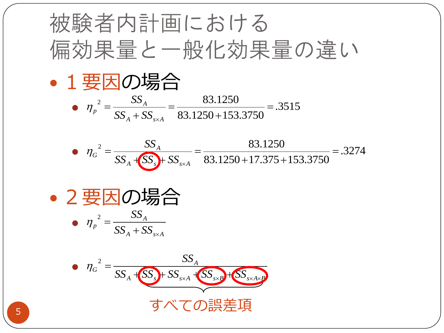被験者内計画における  
\n編効果量と一般化効果量の達い  
\n• 1要因の場合  
\n• 
$$
\eta_{\rho}^2 = \frac{SS_A}{SS_A + SS_{\rm xA}} = \frac{83.1250}{83.1250 + 153.3750} = .3515
$$
  
\n•  $\eta_{G}^2 = \frac{SS_A}{SS_A + SS_{\rm xA}} = \frac{83.1250}{83.1250 + 17.375 + 153.3750} = .3274$   
\n• 2要因の場合  
\n•  $\eta_{\rho}^2 = \frac{SS_A}{SS_A + SS_{\rm xA}}$   
\n•  $\eta_{G}^2 = \frac{SS_A}{SS_A + SS_{\rm xA} + SS_{\rm xA} + OS_{\rm xA} + OS_{\rm xA} + OS_{\rm xA} + OS_{\rm xA} + OS_{\rm xA} + OS_{\rm xA} + OS_{\rm xA} + OS_{\rm xA} + OS_{\rm xA} + OS_{\rm xA} + OS_{\rm xA} + OS_{\rm xA} + OS_{\rm xA} + OS_{\rm xA} + OS_{\rm xA}$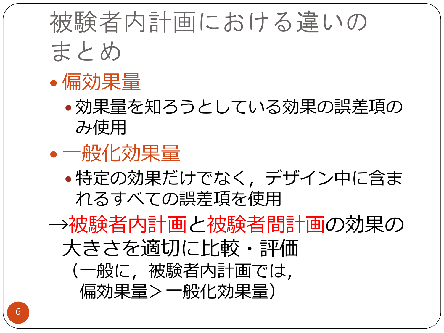# 被験者内計画における違いの まとめ



 効果量を知ろうとしている効果の誤差項の み使用

#### 一般化効果量

 特定の効果だけでなく,デザイン中に含ま れるすべての誤差項を使用

→被験者内計画と被験者間計画の効果の 大きさを適切に比較・評価 (一般に,被験者内計画では, 偏効果量>一般化効果量)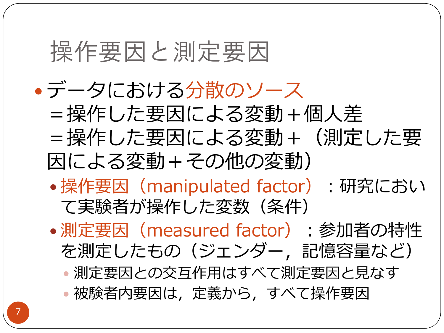### 操作要因と測定要因

 データにおける分散のソース =操作した要因による変動+個人差 =操作した要因による変動+(測定した要 因による変動+その他の変動) ● 操作要因 (manipulated factor): 研究におい て実験者が操作した変数(条件) •測定要因 (measured factor):参加者の特性 を測定したもの(ジェンダー,記憶容量など) 測定要因との交互作用はすべて測定要因と見なす 被験者内要因は,定義から,すべて操作要因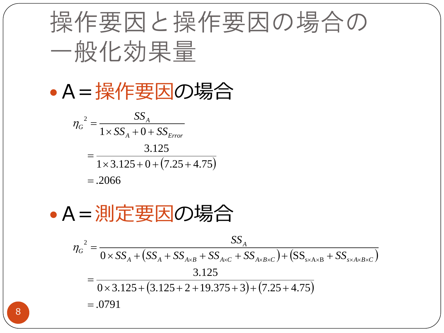

A=操作要因の場合

$$
\eta_G^2 = \frac{SS_A}{1 \times SS_A + 0 + SS_{Error}}
$$
  
= 
$$
\frac{3.125}{1 \times 3.125 + 0 + (7.25 + 4.75)}
$$
  
= .2066

A=測定要因の場合

$$
\eta_G^2 = \frac{SS_A}{0 \times SS_A + (SS_A + SS_{A \times B} + SS_{A \times C} + SS_{A \times B \times C}) + (SS_{s \times A \times B} + SS_{s \times A \times B \times C})}
$$
  
= 
$$
\frac{3.125}{0 \times 3.125 + (3.125 + 2 + 19.375 + 3) + (7.25 + 4.75)}
$$
  
= .0791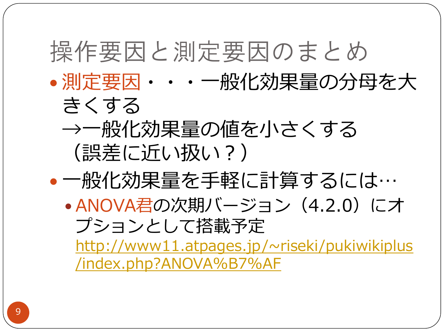### 操作要因と測定要因のまとめ

- 測定要因・・・一般化効果量の分母を大
	- きくする →一般化効果量の値を小さくする (誤差に近い扱い?)
- 一般化効果量を手軽に計算するには…
	- ANOVA君の次期バージョン(4.2.0)にオ プションとして搭載予定

[http://www11.atpages.jp/~riseki/pukiwikiplus](http://www11.atpages.jp/~riseki/pukiwikiplus/index.php?ANOVA%B7%AF) [/index.php?ANOVA%B7%AF](http://www11.atpages.jp/~riseki/pukiwikiplus/index.php?ANOVA%B7%AF)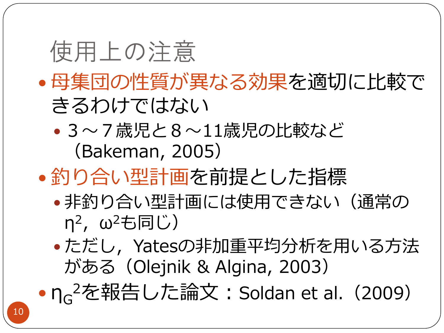### 使用上の注意

- 母集団の性質が異なる効果を適切に比較で きるわけではない
	- 3~7歳児と8~11歳児の比較など (Bakeman, 2005)
- 釣り合い型計画を前提とした指標
	- 非釣り合い型計画には使用できない(通常の η<sup>2</sup>, ω<sup>2</sup>も同じ)
	- •ただし、Yatesの非加重平均分析を用いる方法 がある(Olejnik & Algina, 2003)
- n<sub>G</sub><sup>2</sup>を報告した論文: Soldan et al. (2009)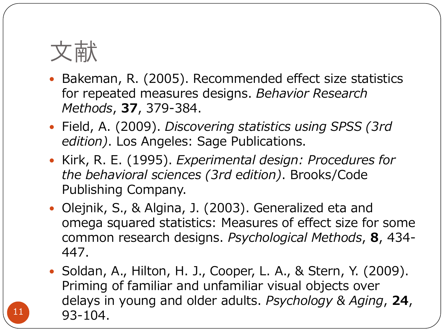

- Bakeman, R. (2005). Recommended effect size statistics for repeated measures designs. Behavior Research Methods, 37, 379-384.
- Field, A. (2009). Discovering statistics using SPSS (3rd edition). Los Angeles: Sage Publications.
- Kirk, R. E. (1995). Experimental design: Procedures for the behavioral sciences (3rd edition). Brooks/Code Publishing Company.
- Olejnik, S., & Algina, J. (2003). Generalized eta and omega squared statistics: Measures of effect size for some common research designs. Psychological Methods, 8, 434- 447.
- Soldan, A., Hilton, H. J., Cooper, L. A., & Stern, Y. (2009). Priming of familiar and unfamiliar visual objects over delays in young and older adults. Psychology & Aging, 24, 93-104.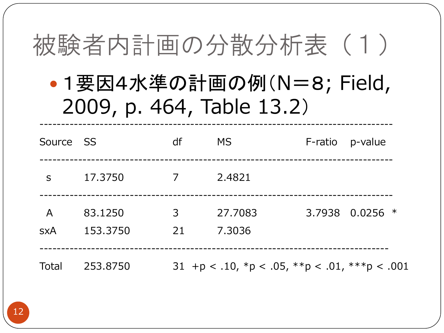## 被験者内計画の分散分析表 (1)

### • 1 要因4水準の計画の例(N=8; Field, 2009, p. 464, Table 13.2)

| Source SS                    |                     | df      | <b>MS</b>                                                       | F-ratio | p-value         |
|------------------------------|---------------------|---------|-----------------------------------------------------------------|---------|-----------------|
| S                            | 17.3750             | 7       | 2.4821                                                          |         |                 |
| $\overline{A}$<br><b>SXA</b> | 83.1250<br>153.3750 | 3<br>21 | 27.7083<br>7.3036                                               |         | 3.7938 0.0256 * |
| Total                        | 253.8750            |         | 31 +p < .10, ${}^*p$ < .05, ${}^*{}^p$ < .01, ${}^*{}^*p$ < .00 |         |                 |

 $\mathbf{1}$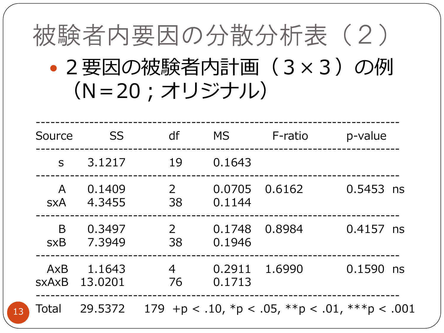

| Source                     | <b>SS</b>         | df                   | MS.              | F-ratio | p-value                                                          |
|----------------------------|-------------------|----------------------|------------------|---------|------------------------------------------------------------------|
| $\mathsf{S}$               | 3.1217            | 19                   | 0.1643           |         |                                                                  |
| $\mathsf{A}$<br><b>SXA</b> | 0.1409<br>4.3455  | $\overline{2}$<br>38 | 0.0705<br>0.1144 | 0.6162  | $0.5453$ ns                                                      |
| B<br><b>sxB</b>            | 0.3497<br>7.3949  | 2<br>38              | 0.1748<br>0.1946 | 0.8984  | $0.4157$ ns                                                      |
| AxB<br><b>SXAXB</b>        | 1.1643<br>13.0201 | 4<br>76              | 0.2911<br>0.1713 | 1.6990  | 0.1590 ns                                                        |
| <b>Total</b>               | 29,5372           |                      |                  |         | 179 + $p < .10$ , * $p < .05$ , * * $p < .01$ , * * * $p < .001$ |